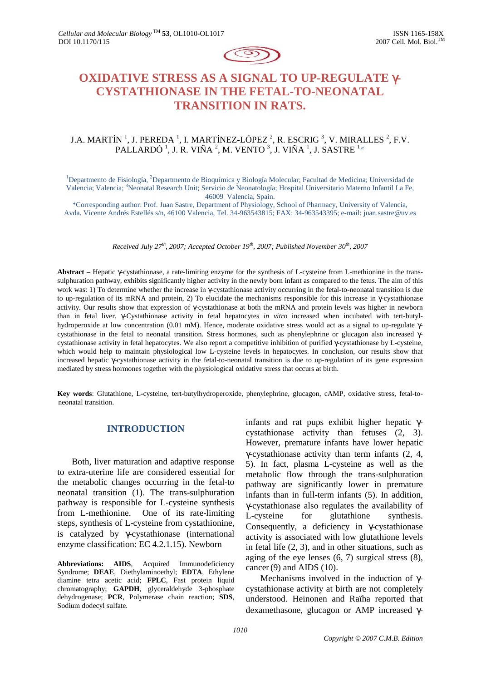

# **OXIDATIVE STRESS AS A SIGNAL TO UP-REGULATE** γ**-CYSTATHIONASE IN THE FETAL-TO-NEONATAL TRANSITION IN RATS.**

# J.A. MARTÍN  $^1$ , J. PEREDA  $^1$ , I. MARTÍNEZ-LÓPEZ  $^2$ , R. ESCRIG  $^3$ , V. MIRALLES  $^2$ , F.V. PALLARDÓ  $^1$ , J. R. VIÑA  $^2$ , M. VENTO  $^3$ , J. VIÑA  $^1$ , J. SASTRE  $^{1_{\mathscr{E}}}$

<sup>1</sup>Departmento de Fisiología, <sup>2</sup>Departmento de Bioquímica y Biología Molecular; Facultad de Medicina; Universidad de Valencia; Valencia; <sup>3</sup>Neonatal Research Unit; Servicio de Neonatología; Hospital Universitario Materno Infantil La Fe, 46009 Valencia, Spain.

\*Corresponding author: Prof. Juan Sastre, Department of Physiology, School of Pharmacy, University of Valencia, Avda. Vicente Andrés Estellés s/n, 46100 Valencia, Tel. 34-963543815; FAX: 34-963543395; e-mail: juan.sastre@uv.es

*Received July 27th, 2007; Accepted October 19th, 2007; Published November 30th* , *2007* 

**Abstract –** Hepatic γ-cystathionase, a rate-limiting enzyme for the synthesis of L-cysteine from L-methionine in the transsulphuration pathway, exhibits significantly higher activity in the newly born infant as compared to the fetus. The aim of this work was: 1) To determine whether the increase in γ-cystathionase activity occurring in the fetal-to-neonatal transition is due to up-regulation of its mRNA and protein, 2) To elucidate the mechanisms responsible for this increase in γ-cystathionase activity. Our results show that expression of γ-cystathionase at both the mRNA and protein levels was higher in newborn than in fetal liver. γ-Cystathionase activity in fetal hepatocytes *in vitro* increased when incubated with tert-butylhydroperoxide at low concentration (0.01 mM). Hence, moderate oxidative stress would act as a signal to up-regulate γcystathionase in the fetal to neonatal transition. Stress hormones, such as phenylephrine or glucagon also increased γcystathionase activity in fetal hepatocytes. We also report a competitive inhibition of purified γ-cystathionase by L-cysteine, which would help to maintain physiological low L-cysteine levels in hepatocytes. In conclusion, our results show that increased hepatic γ-cystathionase activity in the fetal-to-neonatal transition is due to up-regulation of its gene expression mediated by stress hormones together with the physiological oxidative stress that occurs at birth.

**Key words**: Glutathione, L-cysteine, tert-butylhydroperoxide, phenylephrine, glucagon, cAMP, oxidative stress, fetal-toneonatal transition.

# **INTRODUCTION**

Both, liver maturation and adaptive response to extra-uterine life are considered essential for the metabolic changes occurring in the fetal-to neonatal transition (1). The trans-sulphuration pathway is responsible for L-cysteine synthesis from L-methionine. One of its rate-limiting steps, synthesis of L-cysteine from cystathionine, is catalyzed by γ-cystathionase (international enzyme classification: EC 4.2.1.15). Newborn

**Abbreviations: AIDS**, Acquired Immunodeficiency Syndrome; **DEAE**, Diethylaminoethyl; **EDTA**, Ethylene diamine tetra acetic acid; **FPLC**, Fast protein liquid chromatography; **GAPDH**, glyceraldehyde 3-phosphate dehydrogenase; **PCR**, Polymerase chain reaction; **SDS**, Sodium dodecyl sulfate.

infants and rat pups exhibit higher hepatic γcystathionase activity than fetuses (2, 3). However, premature infants have lower hepatic γ-cystathionase activity than term infants (2, 4, 5). In fact, plasma L-cysteine as well as the metabolic flow through the trans-sulphuration pathway are significantly lower in premature infants than in full-term infants (5). In addition, γ-cystathionase also regulates the availability of L-cysteine for glutathione synthesis. Consequently, a deficiency in γ-cystathionase activity is associated with low glutathione levels in fetal life (2, 3), and in other situations, such as aging of the eye lenses (6, 7) surgical stress (8), cancer $(9)$  and AIDS  $(10)$ .

Mechanisms involved in the induction of γcystathionase activity at birth are not completely understood. Heinonen and Raïha reported that dexamethasone, glucagon or AMP increased γ-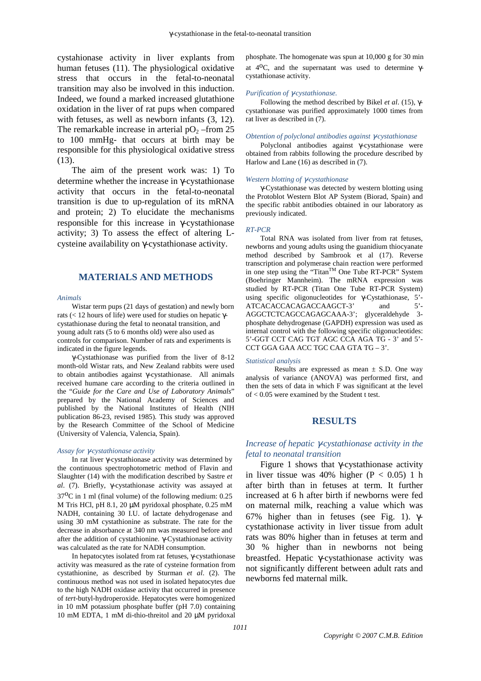cystahionase activity in liver explants from human fetuses (11). The physiological oxidative stress that occurs in the fetal-to-neonatal transition may also be involved in this induction. Indeed, we found a marked increased glutathione oxidation in the liver of rat pups when compared with fetuses, as well as newborn infants (3, 12). The remarkable increase in arterial  $pO<sub>2</sub>$  –from 25 to 100 mmHg- that occurs at birth may be responsible for this physiological oxidative stress (13).

The aim of the present work was: 1) To determine whether the increase in γ-cystathionase activity that occurs in the fetal-to-neonatal transition is due to up-regulation of its mRNA and protein; 2) To elucidate the mechanisms responsible for this increase in γ-cystathionase activity; 3) To assess the effect of altering Lcysteine availability on γ-cystathionase activity.

# **MATERIALS AND METHODS**

#### *Animals*

Wistar term pups (21 days of gestation) and newly born rats (< 12 hours of life) were used for studies on hepatic γcystathionase during the fetal to neonatal transition, and young adult rats (5 to 6 months old) were also used as controls for comparison. Number of rats and experiments is indicated in the figure legends.

γ-Cystathionase was purified from the liver of 8-12 month-old Wistar rats, and New Zealand rabbits were used to obtain antibodies against γ-cystathionase. All animals received humane care according to the criteria outlined in the "*Guide for the Care and Use of Laboratory Animals*" prepared by the National Academy of Sciences and published by the National Institutes of Health (NIH publication 86-23, revised 1985). This study was approved by the Research Committee of the School of Medicine (University of Valencia, Valencia, Spain).

#### *Assay for* γ*-cystathionase activity*

In rat liver γ-cystathionase activity was determined by the continuous spectrophotometric method of Flavin and Slaughter (14) with the modification described by Sastre *et al*. (7). Briefly, γ-cystathionase activity was assayed at  $37^{\circ}$ C in 1 ml (final volume) of the following medium: 0.25 M Tris HCl, pH 8.1, 20 µM pyridoxal phosphate, 0.25 mM NADH, containing 30 I.U. of lactate dehydrogenase and using 30 mM cystathionine as substrate. The rate for the decrease in absorbance at 340 nm was measured before and after the addition of cystathionine. γ-Cystathionase activity was calculated as the rate for NADH consumption.

In hepatocytes isolated from rat fetuses, γ-cystathionase activity was measured as the rate of cysteine formation from cystathionine, as described by Sturman *et al*. (2). The continuous method was not used in isolated hepatocytes due to the high NADH oxidase activity that occurred in presence of *tert*-butyl-hydroperoxide. Hepatocytes were homogenized in 10 mM potassium phosphate buffer (pH 7.0) containing 10 mM EDTA, 1 mM di-thio-threitol and 20 µM pyridoxal phosphate. The homogenate was spun at 10,000 g for 30 min at 4<sup>o</sup>C, and the supernatant was used to determine γcystathionase activity.

#### *Purification of* γ*-cystathionase.*

Following the method described by Bikel *et al*. (15), γcystathionase was purified approximately 1000 times from rat liver as described in (7).

#### *Obtention of polyclonal antibodies against* γ*-cystathionase*

Polyclonal antibodies against γ-cystathionase were obtained from rabbits following the procedure described by Harlow and Lane (16) as described in (7).

#### *Western blotting of* γ*-cystathionase*

γ-Cystathionase was detected by western blotting using the Protoblot Western Blot AP System (Biorad, Spain) and the specific rabbit antibodies obtained in our laboratory as previously indicated.

#### *RT-PCR*

Total RNA was isolated from liver from rat fetuses, newborns and young adults using the guanidium thiocyanate method described by Sambrook et al (17). Reverse transcription and polymerase chain reaction were performed in one step using the "Titan<sup>TM</sup> One Tube RT-PCR" System (Boehringer Mannheim). The mRNA expression was studied by RT-PCR (Titan One Tube RT-PCR System) using specific oligonucleotides for  $\gamma$ -Cystathionase, 5'-<br>ATCACACACACACAACCAACC-2' and 5'-ATCACACCACAGACCAAGCT-3' and AGGCTCTCAGCCAGAGCAAA-3'; glyceraldehyde 3 phosphate dehydrogenase (GAPDH) expression was used as internal control with the following specific oligonucleotides: 5'-GGT CCT CAG TGT AGC CCA AGA TG - 3' and 5'- CCT GGA GAA ACC TGC CAA GTA TG – 3'.

#### *Statistical analysis*

Results are expressed as mean  $\pm$  S.D. One way analysis of variance (ANOVA) was performed first, and then the sets of data in which F was significant at the level of < 0.05 were examined by the Student t test.

### **RESULTS**

# *Increase of hepatic* γ*-cystathionase activity in the fetal to neonatal transition*

Figure 1 shows that γ-cystathionase activity in liver tissue was  $40\%$  higher (P < 0.05) 1 h after birth than in fetuses at term. It further increased at 6 h after birth if newborns were fed on maternal milk, reaching a value which was 67% higher than in fetuses (see Fig. 1). γcystathionase activity in liver tissue from adult rats was 80% higher than in fetuses at term and 30 % higher than in newborns not being breastfed. Hepatic γ-cystathionase activity was not significantly different between adult rats and newborns fed maternal milk.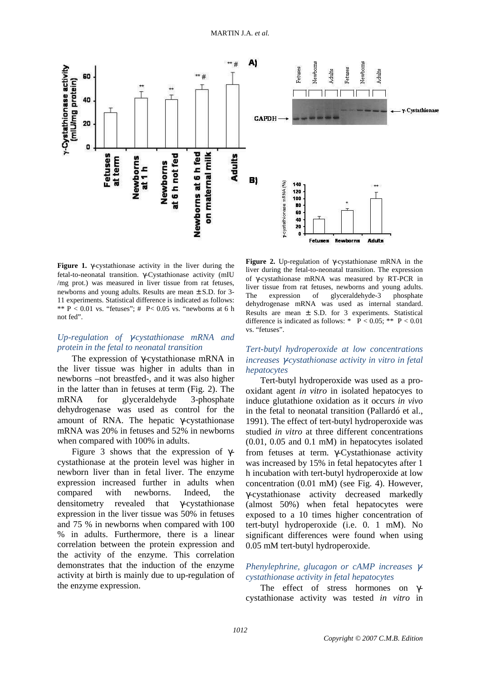

**Figure 1.** γ-cystathionase activity in the liver during the fetal-to-neonatal transition. γ-Cystathionase activity (mIU /mg prot.) was measured in liver tissue from rat fetuses, newborns and young adults. Results are mean ± S.D. for 3- 11 experiments. Statistical difference is indicated as follows: \*\*  $P \le 0.01$  vs. "fetuses"; #  $P \le 0.05$  vs. "newborns at 6 h not fed".

## *Up-regulation of* γ*-cystathionase mRNA and protein in the fetal to neonatal transition*

The expression of γ-cystathionase mRNA in the liver tissue was higher in adults than in newborns –not breastfed-, and it was also higher in the latter than in fetuses at term (Fig. 2). The mRNA for glyceraldehyde 3-phosphate dehydrogenase was used as control for the amount of RNA. The hepatic γ-cystathionase mRNA was 20% in fetuses and 52% in newborns when compared with 100% in adults.

Figure 3 shows that the expression of  $\gamma$ cystathionase at the protein level was higher in newborn liver than in fetal liver. The enzyme expression increased further in adults when compared with newborns. Indeed, the densitometry revealed that γ-cystathionase expression in the liver tissue was 50% in fetuses and 75 % in newborns when compared with 100 % in adults. Furthermore, there is a linear correlation between the protein expression and the activity of the enzyme. This correlation demonstrates that the induction of the enzyme activity at birth is mainly due to up-regulation of the enzyme expression.

**Figure 2.** Up-regulation of γ-cystathionase mRNA in the liver during the fetal-to-neonatal transition. The expression of γ-cystathionase mRNA was measured by RT-PCR in liver tissue from rat fetuses, newborns and young adults.<br>The expression of glyceraldehyde-3 phosphate expression of glyceraldehyde-3 dehydrogenase mRNA was used as internal standard. Results are mean ± S.D. for 3 experiments. Statistical difference is indicated as follows: \*  $P < 0.05$ ; \*\*  $P < 0.01$ vs. "fetuses".

# *Tert-butyl hydroperoxide at low concentrations increases* γ*-cystathionase activity in vitro in fetal hepatocytes*

Tert-butyl hydroperoxide was used as a prooxidant agent *in vitro* in isolated hepatocyes to induce glutathione oxidation as it occurs *in vivo* in the fetal to neonatal transition (Pallardó et al., 1991). The effect of tert-butyl hydroperoxide was studied *in vitro* at three different concentrations (0.01, 0.05 and 0.1 mM) in hepatocytes isolated from fetuses at term. γ-Cystathionase activity was increased by 15% in fetal hepatocytes after 1 h incubation with tert-butyl hydroperoxide at low concentration (0.01 mM) (see Fig. 4). However, γ-cystathionase activity decreased markedly (almost 50%) when fetal hepatocytes were exposed to a 10 times higher concentration of tert-butyl hydroperoxide (i.e. 0. 1 mM). No significant differences were found when using 0.05 mM tert-butyl hydroperoxide.

# *Phenylephrine, glucagon or cAMP increases* γ*cystathionase activity in fetal hepatocytes*

The effect of stress hormones on γcystathionase activity was tested *in vitro* in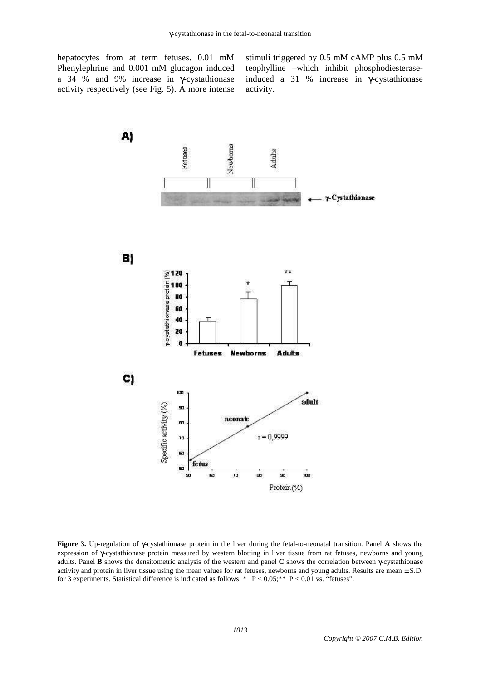hepatocytes from at term fetuses. 0.01 mM Phenylephrine and 0.001 mM glucagon induced a 34 % and 9% increase in γ-cystathionase activity respectively (see Fig. 5). A more intense

stimuli triggered by 0.5 mM cAMP plus 0.5 mM teophylline –which inhibit phosphodiesteraseinduced a 31 % increase in γ-cystathionase activity.



**Figure 3.** Up-regulation of γ-cystathionase protein in the liver during the fetal-to-neonatal transition. Panel **A** shows the expression of γ-cystathionase protein measured by western blotting in liver tissue from rat fetuses, newborns and young adults. Panel **B** shows the densitometric analysis of the western and panel **C** shows the correlation between γ-cystathionase activity and protein in liver tissue using the mean values for rat fetuses, newborns and young adults. Results are mean  $\pm$  S.D. for 3 experiments. Statistical difference is indicated as follows: \* P < 0.05;\*\* P < 0.01 vs. "fetuses".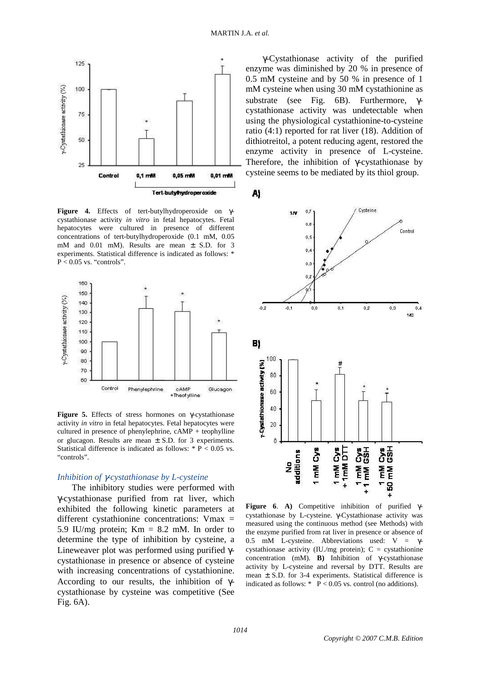

**Figure 4.** Effects of tert-butylhydroperoxide on γcystathionase activity *in vitro* in fetal hepatocytes. Fetal hepatocytes were cultured in presence of different concentrations of tert-butylhydroperoxide (0.1 mM, 0.05 mM and 0.01 mM). Results are mean ± S.D. for 3 experiments. Statistical difference is indicated as follows: \*  $P < 0.05$  vs. "controls".



**Figure 5.** Effects of stress hormones on γ-cystathionase activity *in vitro* in fetal hepatocytes. Fetal hepatocytes were cultured in presence of phenylephrine, cAMP + teophylline or glucagon. Results are mean  $\pm$  S.D. for 3 experiments. Statistical difference is indicated as follows: \* P < 0.05 vs. "controls".

## *Inhibition of* γ*-cystathionase by L-cysteine*

The inhibitory studies were performed with γ-cystathionase purified from rat liver, which exhibited the following kinetic parameters at different cystathionine concentrations: Vmax = 5.9 IU/mg protein;  $Km = 8.2$  mM. In order to determine the type of inhibition by cysteine, a Lineweaver plot was performed using purified γcystathionase in presence or absence of cysteine with increasing concentrations of cystathionine. According to our results, the inhibition of γcystathionase by cysteine was competitive (See Fig. 6A).

γ-Cystathionase activity of the purified enzyme was diminished by 20 % in presence of 0.5 mM cysteine and by 50 % in presence of 1 mM cysteine when using 30 mM cystathionine as substrate (see Fig. 6B). Furthermore, γcystathionase activity was undetectable when using the physiological cystathionine-to-cysteine ratio (4:1) reported for rat liver (18). Addition of dithiotreitol, a potent reducing agent, restored the enzyme activity in presence of L-cysteine. Therefore, the inhibition of γ-cystathionase by cysteine seems to be mediated by its thiol group.

A)



**Figure 6**. **A)** Competitive inhibition of purified γcystathionase by L-cysteine. γ-Cystathionase activity was measured using the continuous method (see Methods) with the enzyme purified from rat liver in presence or absence of 0.5 mM L-cysteine. Abbreviations used:  $V = γ$ cystathionase activity (IU./mg protein);  $C =$  cystathionine concentration (mM). **B)** Inhibition of γ-cystathionase activity by L-cysteine and reversal by DTT. Results are mean  $\pm$  S.D. for 3-4 experiments. Statistical difference is indicated as follows:  $*$  P < 0.05 vs. control (no additions).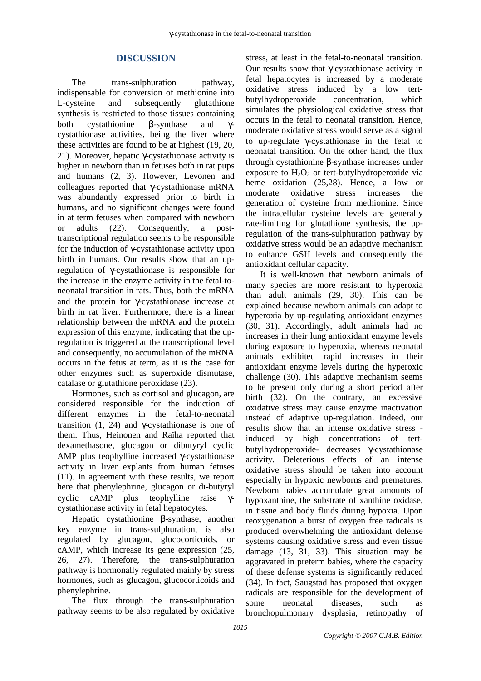# **DISCUSSION**

The trans-sulphuration pathway, indispensable for conversion of methionine into L-cysteine and subsequently glutathione synthesis is restricted to those tissues containing both cystathionine β-synthase and γcystathionase activities, being the liver where these activities are found to be at highest (19, 20, 21). Moreover, hepatic γ-cystathionase activity is higher in newborn than in fetuses both in rat pups and humans (2, 3). However, Levonen and colleagues reported that γ-cystathionase mRNA was abundantly expressed prior to birth in humans, and no significant changes were found in at term fetuses when compared with newborn or adults (22). Consequently, a posttranscriptional regulation seems to be responsible for the induction of γ-cystathionase activity upon birth in humans. Our results show that an upregulation of γ-cystathionase is responsible for the increase in the enzyme activity in the fetal-toneonatal transition in rats. Thus, both the mRNA and the protein for γ-cystathionase increase at birth in rat liver. Furthermore, there is a linear relationship between the mRNA and the protein expression of this enzyme, indicating that the upregulation is triggered at the transcriptional level and consequently, no accumulation of the mRNA occurs in the fetus at term, as it is the case for other enzymes such as superoxide dismutase, catalase or glutathione peroxidase (23).

Hormones, such as cortisol and glucagon, are considered responsible for the induction of different enzymes in the fetal-to-neonatal transition (1, 24) and γ-cystathionase is one of them. Thus, Heinonen and Raïha reported that dexamethasone, glucagon or dibutyryl cyclic AMP plus teophylline increased γ-cystathionase activity in liver explants from human fetuses (11). In agreement with these results, we report here that phenylephrine, glucagon or di-butyryl cyclic cAMP plus teophylline raise γcystathionase activity in fetal hepatocytes.

Hepatic cystathionine β-synthase, another key enzyme in trans-sulphuration, is also regulated by glucagon, glucocorticoids, or cAMP, which increase its gene expression (25, 26, 27). Therefore, the trans-sulphuration pathway is hormonally regulated mainly by stress hormones, such as glucagon, glucocorticoids and phenylephrine.

The flux through the trans-sulphuration pathway seems to be also regulated by oxidative stress, at least in the fetal-to-neonatal transition. Our results show that γ-cystathionase activity in fetal hepatocytes is increased by a moderate oxidative stress induced by a low tertbutylhydroperoxide concentration, which simulates the physiological oxidative stress that occurs in the fetal to neonatal transition. Hence, moderate oxidative stress would serve as a signal to up-regulate γ-cystathionase in the fetal to neonatal transition. On the other hand, the flux through cystathionine β-synthase increases under exposure to  $H_2O_2$  or tert-butylhydroperoxide via heme oxidation (25,28). Hence, a low or moderate oxidative stress increases the generation of cysteine from methionine. Since the intracellular cysteine levels are generally rate-limiting for glutathione synthesis, the upregulation of the trans-sulphuration pathway by oxidative stress would be an adaptive mechanism to enhance GSH levels and consequently the antioxidant cellular capacity.

It is well-known that newborn animals of many species are more resistant to hyperoxia than adult animals (29, 30). This can be explained because newborn animals can adapt to hyperoxia by up-regulating antioxidant enzymes (30, 31). Accordingly, adult animals had no increases in their lung antioxidant enzyme levels during exposure to hyperoxia, whereas neonatal animals exhibited rapid increases in their antioxidant enzyme levels during the hyperoxic challenge (30). This adaptive mechanism seems to be present only during a short period after birth (32). On the contrary, an excessive oxidative stress may cause enzyme inactivation instead of adaptive up-regulation. Indeed, our results show that an intense oxidative stress induced by high concentrations of tertbutylhydroperoxide- decreases γ-cystathionase activity. Deleterious effects of an intense oxidative stress should be taken into account especially in hypoxic newborns and prematures. Newborn babies accumulate great amounts of hypoxanthine, the substrate of xanthine oxidase, in tissue and body fluids during hypoxia. Upon reoxygenation a burst of oxygen free radicals is produced overwhelming the antioxidant defense systems causing oxidative stress and even tissue damage (13, 31, 33). This situation may be aggravated in preterm babies, where the capacity of these defense systems is significantly reduced (34). In fact, Saugstad has proposed that oxygen radicals are responsible for the development of some neonatal diseases, such as bronchopulmonary dysplasia, retinopathy of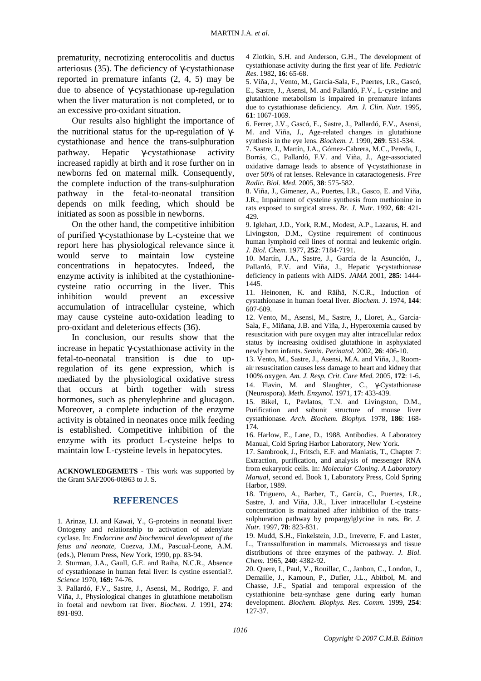prematurity, necrotizing enterocolitis and ductus arteriosus (35). The deficiency of γ-cystathionase reported in premature infants (2, 4, 5) may be due to absence of γ-cystathionase up-regulation when the liver maturation is not completed, or to an excessive pro-oxidant situation.

Our results also highlight the importance of the nutritional status for the up-regulation of γcystathionase and hence the trans-sulphuration pathway. Hepatic γ-cystathionase activity increased rapidly at birth and it rose further on in newborns fed on maternal milk. Consequently, the complete induction of the trans-sulphuration pathway in the fetal-to-neonatal transition depends on milk feeding, which should be initiated as soon as possible in newborns.

On the other hand, the competitive inhibition of purified γ-cystathionase by L-cysteine that we report here has physiological relevance since it would serve to maintain low cysteine concentrations in hepatocytes. Indeed, the enzyme activity is inhibited at the cystathioninecysteine ratio occurring in the liver. This inhibition would prevent an excessive accumulation of intracellular cysteine, which may cause cysteine auto-oxidation leading to pro-oxidant and deleterious effects (36).

In conclusion, our results show that the increase in hepatic γ-cystathionase activity in the fetal-to-neonatal transition is due to upregulation of its gene expression, which is mediated by the physiological oxidative stress that occurs at birth together with stress hormones, such as phenylephrine and glucagon. Moreover, a complete induction of the enzyme activity is obtained in neonates once milk feeding is established. Competitive inhibition of the enzyme with its product L-cysteine helps to maintain low L-cysteine levels in hepatocytes.

**ACKNOWLEDGEMETS** - This work was supported by the Grant SAF2006-06963 to J. S.

### **REFERENCES**

1. Arinze, I.J. and Kawai, Y., G-proteins in neonatal liver: Ontogeny and relationship to activation of adenylate cyclase. In: *Endocrine and biochemical development of the fetus and neonate*, Cuezva, J.M., Pascual-Leone, A.M. (eds.), Plenum Press, New York, 1990, pp. 83-94.

2. Sturman, J.A., Gaull, G.E. and Raiha, N.C.R., Absence of cystathionase in human fetal liver: Is cystine essential?. *Science* 1970, **169:** 74-76.

3. Pallardó, F.V., Sastre, J., Asensi, M., Rodrigo, F. and Viña, J., Physiological changes in glutathione metabolism in foetal and newborn rat liver. *Biochem. J.* 1991, **274**: 891-893.

4 Zlotkin, S.H. and Anderson, G.H., The development of cystathionase activity during the first year of life. *Pediatric Res*. 1982, **16**: 65-68.

5. Viña, J., Vento, M., García-Sala, F., Puertes, I.R., Gascó, E., Sastre, J., Asensi, M. and Pallardó, F.V., L-cysteine and glutathione metabolism is impaired in premature infants due to cystathionase deficiency. *Am. J. Clin. Nutr.* 1995, **61**: 1067-1069.

6. Ferrer, J.V., Gascó, E., Sastre, J., Pallardó, F.V., Asensi, M. and Viña, J., Age-related changes in glutathione synthesis in the eye lens. *Biochem. J.* 1990, **269**: 531-534.

7. Sastre, J., Martín, J.A., Gómez-Cabrera, M.C., Pereda, J., Borrás, C., Pallardó, F.V. and Viña, J., Age-associated oxidative damage leads to absence of γ-cystathionase in over 50% of rat lenses. Relevance in cataractogenesis. *Free Radic. Biol. Med.* 2005, **38**: 575-582.

8. Viña, J., Gimenez, A., Puertes, I.R., Gasco, E. and Viña, J.R., Impairment of cysteine synthesis from methionine in rats exposed to surgical stress. *Br. J. Nutr*. 1992, **68**: 421- 429.

9. Iglehart, J.D., York, R.M., Modest, A.P., Lazarus, H. and Livingston, D.M., Cystine requirement of continuous human lymphoid cell lines of normal and leukemic origin. *J. Biol. Chem.* 1977, **252**: 7184-7191.

10. Martín, J.A., Sastre, J., García de la Asunción, J., Pallardó, F.V. and Viña, J., Hepatic γ-cystathionase deficiency in patients with AIDS. *JAMA* 2001, **285**: 1444- 1445.

11. Heinonen, K. and Räihä, N.C.R., Induction of cystathionase in human foetal liver. *Biochem. J.* 1974, **144**: 607-609.

12. Vento, M., Asensi, M., Sastre, J., Lloret, A., García-Sala, F., Miñana, J.B. and Viña, J., Hyperoxemia caused by resuscitation with pure oxygen may alter intracellular redox status by increasing oxidised glutathione in asphyxiated newly born infants. *Semin. Perinatol.* 2002, **26**: 406-10.

13. Vento, M., Sastre, J., Asensi, M.A. and Viña, J., Roomair resuscitation causes less damage to heart and kidney that 100% oxygen. *Am. J. Resp. Crit. Care Med.* 2005, **172**: 1-6. 14. Flavin, M. and Slaughter, C., γ-Cystathionase (Neurospora). *Meth. Enzymol.* 1971, **17**: 433-439.

15. Bikel, I., Pavlatos, T.N. and Livingston, D.M., Purification and subunit structure of mouse liver cystathionase. *Arch. Biochem. Biophys.* 1978, **186**: 168- 174.

16. Harlow, E., Lane, D., 1988. Antibodies. A Laboratory Manual, Cold Spring Harbor Laboratory, New York.

17. Sambrook, J., Fritsch, E.F. and Maniatis, T., Chapter 7: Extraction, purification, and analysis of messenger RNA from eukaryotic cells. In: *Molecular Cloning. A Laboratory Manual*, second ed. Book 1, Laboratory Press, Cold Spring Harbor, 1989.

18. Triguero, A., Barber, T., García, C., Puertes, I.R., Sastre, J. and Viña, J.R., Liver intracellular L-cysteine concentration is maintained after inhibition of the transsulphuration pathway by propargylglycine in rats. *Br. J. Nutr.* 1997, **78**: 823-831.

19. Mudd, S.H., Finkelstein, J.D., Irreverre, F. and Laster, L., Transsulfuration in mammals. Microassays and tissue distributions of three enzymes of the pathway. *J. Biol. Chem.* 1965, **240**: 4382-92.

20. Quere, I., Paul, V., Rouillac, C., Janbon, C., London, J., Demaille, J., Kamoun, P., Dufier, J.L., Abitbol, M. and Chasse, J.F., Spatial and temporal expression of the cystathionine beta-synthase gene during early human development. *Biochem. Biophys. Res. Comm.* 1999, **254**: 127-37.